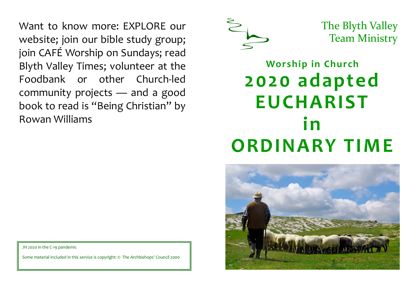Want to know more: FXPLORE our website; join our bible study group; join CAFÉ Worship on Sundays; read Blyth Valley Times; volunteer at the Foodbank or other Church-led community projects — and a good book to read is "Being Christian" by Rowan Williams



The Blyth Valley Team Ministry

**Worship in Church 2020 adapted EUCHARIST in ORDINARY TIME**



JH 2020 in the C-19 pandemic

Some material included in this service is copyright: © The Archbishops' Council 2000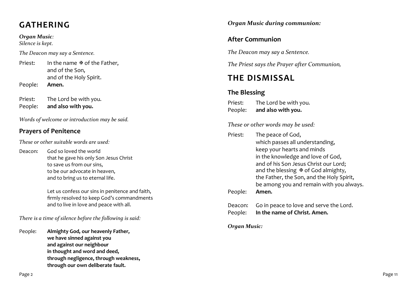# **GATHERING**

*Organ Music:* 

*Silence is kept.*

*The Deacon may say a Sentence.*

Priest: In the name  $\mathfrak A$  of the Father, and of the Son, and of the Holy Spirit.

People: **Amen.**

Priest: The Lord be with you. People: **and also with you.**

*Words of welcome or introduction may be said.*

# **Prayers of Penitence**

*These or other suitable words are used:*

Deacon: God so loved the world that he gave his only Son Jesus Christ to save us from our sins, to be our advocate in heaven, and to bring us to eternal life.

> Let us confess our sins in penitence and faith, firmly resolved to keep God 's commandments and to live in love and peace with all.

*There is a time of silence before the following is said:*

People: **Almighty God, our heavenly Father, we have sinned against you and against our neighbour in thought and word and deed, through negligence, through weakness , through our own deliberate fault.**

*Organ Music during communion:* 

# **After Communion**

*The Deacon may say a Sentence.*

*The Priest says the Prayer after Communion,* 

# **THE DISMISSAL**

# **The Blessing**

| Priest: | The Lord be with you. |
|---------|-----------------------|
| People: | and also with you.    |

*These or other words may be used:*

Priest: The peace of God, which passes all understanding, keep your hearts and minds in the knowledge and love of God, and of his Son Jesus Christ our Lord; and the blessing  $\mathfrak A$  of God almighty, the Father, the Son, and the Holy Spirit, be among you and remain with you always. People: **Amen.** Deacon: Go in peace to love and serve the Lord. People: **In the name of Christ. Amen.**

*Organ Music:*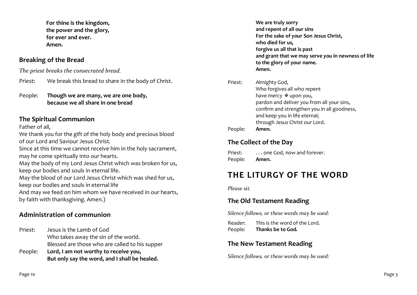**For thine is the kingdom, the power and the glory, for ever and ever. Amen.**

#### **Breaking of the Bread**

*The priest breaks the consecrated bread.* 

Priest: We break this bread to share in the body of Christ.

People: **Though we are many, we are one body, because we all share in one bread**

### **The Spiritual Communion**

Father of all,

We thank you for the gift of the holy body and precious blood of our Lord and Saviour Jesus Christ.

Since at this time we cannot receive him in the holy sacrament, may he come spiritually into our hearts.

May the body of my Lord Jesus Christ which was broken for us, keep our bodies and souls in eternal life.

May the blood of our Lord Jesus Christ which was shed for us, keep our bodies and souls in eternal life

And may we feed on him whom we have received in our hearts, by faith with thanksgiving. Amen.)

# **Administration of communion**

Priest: Jesus is the Lamb of God Who takes away the sin of the world. Blessed are those who are called to his supper People: **Lord, I am not worthy to receive you, But only say the word, and I shall be healed.**

**We are truly sorry and repent of all our sins For the sake of your Son Jesus Christ, who died for us, forgive us all that is past and grant that we may serve you in newness of life to the glory of your name. Amen.** 

Priest: Almighty God, Who forgives all who repent have mercy  $\mathbb F$  upon you, pardon and deliver you from all your sins, confirm and strengthen you in all goodness, and keep you in life eternal; through Jesus Christ our Lord. People: **Amen.** 

#### **The Collect of the Day**

| Priest: | one God, now and forever. |
|---------|---------------------------|
| People: | Amen.                     |

# **THE LITURGY OF THE WORD**

*Please sit.*

# **The Old Testament Reading**

*Silence follows, or these words may be used:*

Reader: This is the word of the Lord. People: **Thanks be to God.**

# **The New Testament Reading**

*Silence follows, or these words may be used:*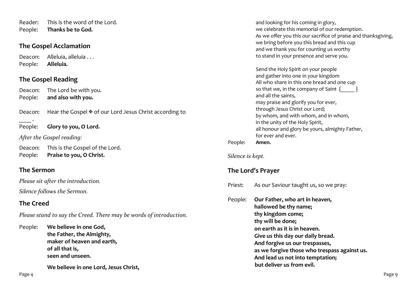Reader: This is the word of the Lord. People: **Thanks be to God.**

#### **The Gospel Acclamation**

Deacon: Alleluia, alleluia ... People: **Alleluia.**

### **The Gospel Reading**

Deacon: The Lord be with you. People: **and also with you.**

Deacon: Hear the Gospel  $\Phi$  of our Lord Jesus Christ according to

\_\_\_\_ . People: **Glory to you, O Lord.**

*After the Gospel reading:*

Deacon: This is the Gospel of the Lord. People: **Praise to you, O Christ.**

### **The Sermon**

*Please sit after the introduction.*

*Silence follows the Sermon.*

# **The Creed**

*Please stand to say the Creed. There may be words of introduction.*

People: **We believe in one God, the Father, the Almighty, maker of heaven and earth, of all that is, seen and unseen.**

**We believe in one Lord, Jesus Christ,**

and looking for his coming in glory, we celebrate this memorial of our redemption. As we offer you this our sacrifice of praise and thanksgiving, we bring before you this bread and this cup and we thank you for counting us worthy to stand in your presence and serve you.

Send the Holy Spirit on your people and gather into one in your kingdom All who share in this one bread and one cup so that we, in the company of Saint { and all the saints, may praise and glorify you for ever, through Jesus Christ our Lord; by whom, and with whom, and in whom, in the unity of the Holy Spirit, all honour and glory be yours, almighty Father, for ever and ever. People: **Amen.**

#### *Silence is kept.*

# **The Lord's Prayer**

- Priest: As our Saviour taught us, so we pray:
- People: **Our Father, who art in heaven, hallowed be thy name; thy kingdom come; thy will be done; on earth as it is in heaven. Give us this day our daily bread. And forgive us our trespasses, as we forgive those who trespass against us. And lead us not into temptation; but deliver us from evil.**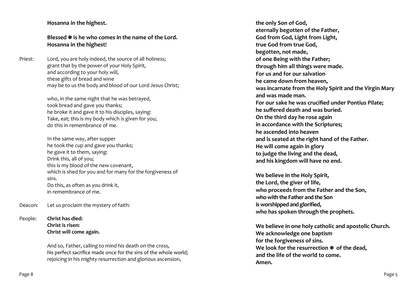#### **Hosanna in the highest.**

#### **Blessed is he who comes in the name of the Lord. Hosanna in the highest!**

Priest: Lord, you are holy indeed, the source of all holiness; grant that by the power of your Holy Spirit, and according to your holy will, these gifts of bread and wine may be to us the body and blood of our Lord Jesus Christ;

> who, in the same night that he was betrayed, took bread and gave you thanks; he broke it and gave it to his disciples, saying: Take, eat; this is my body which is given for you; do this in remembrance of me.

In the same way, after supper he took the cup and gave you thanks; he gave it to them, saying: Drink this, all of you; this is my blood of the new covenant, which is shed for you and for many for the forgiveness of sins. Do this, as often as you drink it, in remembrance of me.

Deacon: Let us proclaim the mystery of faith:

People: **Christ has died: Christ is risen: Christ will come again.**

> And so, Father, calling to mind his death on the cross,<br>his perfect sacrifice made once for the sins of the whole world; rejoicing in his mighty resurrection and glorious ascension,

**the only Son of God, eternally begotten of the Father, God from God, Light from Light, true God from true God, begotten, not made, of one Being with the Father; through him all things were made. For us and for our salvation he came down from heaven, was incarnate from the Holy Spirit and the Virgin Mary and was made man. For our sake he was crucified under Pontius Pilate; he suffered death and was buried. On the third day he rose again in accordance with the Scriptures; he ascended into heaven and is seated at the right hand of the Father. He will come again in glory to judge the living and the dead, and his kingdom will have no end.** 

**We believe in the Holy Spirit, the Lord, the giver of life, who proceeds from the Father and the Son, who with the Father and the Son is worshipped and glorified , who has spoken through the prophets.**

**We believe in one holy catholic and apostolic Church. We acknowledge one baptism for the forgiveness of sins. We look for the resurrection of the dead, and the life of the world to come. Amen.**